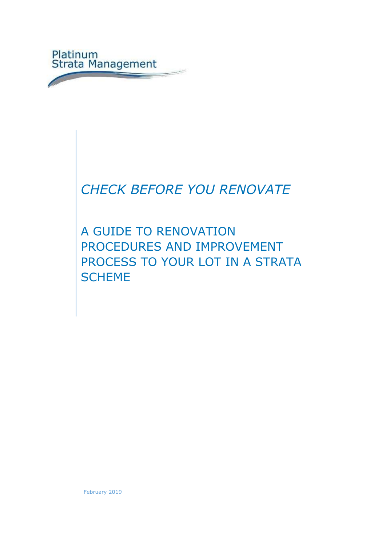

## *CHECK BEFORE YOU RENOVATE*

A GUIDE TO RENOVATION PROCEDURES AND IMPROVEMENT PROCESS TO YOUR LOT IN A STRATA **SCHEME**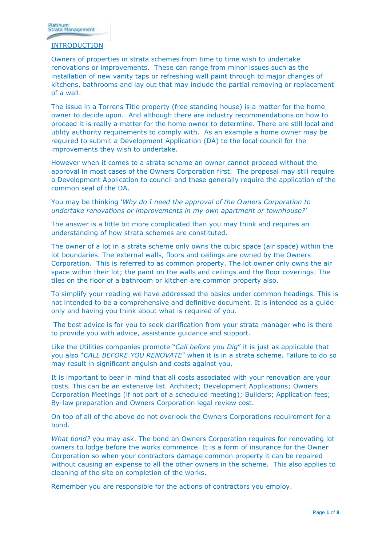## INTRODUCTION

Owners of properties in strata schemes from time to time wish to undertake renovations or improvements. These can range from minor issues such as the installation of new vanity taps or refreshing wall paint through to major changes of kitchens, bathrooms and lay out that may include the partial removing or replacement of a wall.

The issue in a Torrens Title property (free standing house) is a matter for the home owner to decide upon. And although there are industry recommendations on how to proceed it is really a matter for the home owner to determine. There are still local and utility authority requirements to comply with. As an example a home owner may be required to submit a Development Application (DA) to the local council for the improvements they wish to undertake.

However when it comes to a strata scheme an owner cannot proceed without the approval in most cases of the Owners Corporation first. The proposal may still require a Development Application to council and these generally require the application of the common seal of the DA.

You may be thinking '*Why do I need the approval of the Owners Corporation to undertake renovations or improvements in my own apartment or townhouse?*'

The answer is a little bit more complicated than you may think and requires an understanding of how strata schemes are constituted.

The owner of a lot in a strata scheme only owns the cubic space (air space) within the lot boundaries. The external walls, floors and ceilings are owned by the Owners Corporation. This is referred to as common property. The lot owner only owns the air space within their lot; the paint on the walls and ceilings and the floor coverings. The tiles on the floor of a bathroom or kitchen are common property also.

To simplify your reading we have addressed the basics under common headings. This is not intended to be a comprehensive and definitive document. It is intended as a guide only and having you think about what is required of you.

The best advice is for you to seek clarification from your strata manager who is there to provide you with advice, assistance guidance and support.

Like the Utilities companies promote "*Call before you Dig*" it is just as applicable that you also "*CALL BEFORE YOU RENOVATE*" when it is in a strata scheme. Failure to do so may result in significant anguish and costs against you.

It is important to bear in mind that all costs associated with your renovation are your costs. This can be an extensive list. Architect; Development Applications; Owners Corporation Meetings (if not part of a scheduled meeting); Builders; Application fees; By-law preparation and Owners Corporation legal review cost.

On top of all of the above do not overlook the Owners Corporations requirement for a bond.

*What bond?* you may ask. The bond an Owners Corporation requires for renovating lot owners to lodge before the works commence. It is a form of insurance for the Owner Corporation so when your contractors damage common property it can be repaired without causing an expense to all the other owners in the scheme. This also applies to cleaning of the site on completion of the works.

Remember you are responsible for the actions of contractors you employ.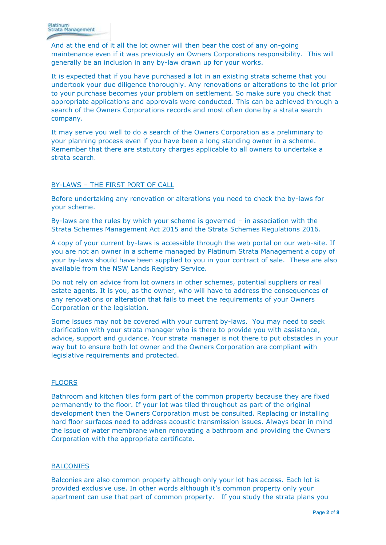And at the end of it all the lot owner will then bear the cost of any on-going maintenance even if it was previously an Owners Corporations responsibility. This will generally be an inclusion in any by-law drawn up for your works.

It is expected that if you have purchased a lot in an existing strata scheme that you undertook your due diligence thoroughly. Any renovations or alterations to the lot prior to your purchase becomes your problem on settlement. So make sure you check that appropriate applications and approvals were conducted. This can be achieved through a search of the Owners Corporations records and most often done by a strata search company.

It may serve you well to do a search of the Owners Corporation as a preliminary to your planning process even if you have been a long standing owner in a scheme. Remember that there are statutory charges applicable to all owners to undertake a strata search.

## BY-LAWS – THE FIRST PORT OF CALL

Before undertaking any renovation or alterations you need to check the by-laws for your scheme.

By-laws are the rules by which your scheme is governed – in association with the Strata Schemes Management Act 2015 and the Strata Schemes Regulations 2016.

A copy of your current by-laws is accessible through the web portal on our web-site. If you are not an owner in a scheme managed by Platinum Strata Management a copy of your by-laws should have been supplied to you in your contract of sale. These are also available from the NSW Lands Registry Service.

Do not rely on advice from lot owners in other schemes, potential suppliers or real estate agents. It is you, as the owner, who will have to address the consequences of any renovations or alteration that fails to meet the requirements of your Owners Corporation or the legislation.

Some issues may not be covered with your current by-laws. You may need to seek clarification with your strata manager who is there to provide you with assistance, advice, support and guidance. Your strata manager is not there to put obstacles in your way but to ensure both lot owner and the Owners Corporation are compliant with legislative requirements and protected.

## FLOORS

Bathroom and kitchen tiles form part of the common property because they are fixed permanently to the floor. If your lot was tiled throughout as part of the original development then the Owners Corporation must be consulted. Replacing or installing hard floor surfaces need to address acoustic transmission issues. Always bear in mind the issue of water membrane when renovating a bathroom and providing the Owners Corporation with the appropriate certificate.

## BALCONIES

Balconies are also common property although only your lot has access. Each lot is provided exclusive use. In other words although it's common property only your apartment can use that part of common property. If you study the strata plans you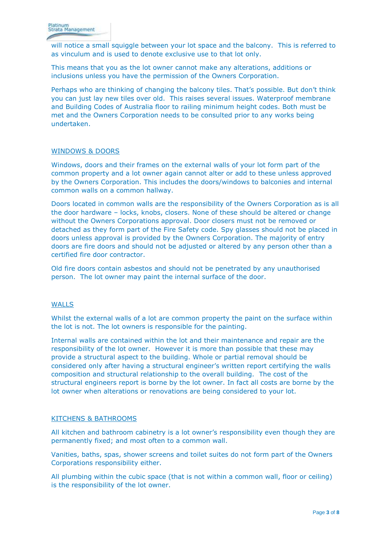will notice a small squiggle between your lot space and the balcony. This is referred to as vinculum and is used to denote exclusive use to that lot only.

This means that you as the lot owner cannot make any alterations, additions or inclusions unless you have the permission of the Owners Corporation.

Perhaps who are thinking of changing the balcony tiles. That's possible. But don't think you can just lay new tiles over old. This raises several issues. Waterproof membrane and Building Codes of Australia floor to railing minimum height codes. Both must be met and the Owners Corporation needs to be consulted prior to any works being undertaken.

## WINDOWS & DOORS

Windows, doors and their frames on the external walls of your lot form part of the common property and a lot owner again cannot alter or add to these unless approved by the Owners Corporation. This includes the doors/windows to balconies and internal common walls on a common hallway.

Doors located in common walls are the responsibility of the Owners Corporation as is all the door hardware – locks, knobs, closers. None of these should be altered or change without the Owners Corporations approval. Door closers must not be removed or detached as they form part of the Fire Safety code. Spy glasses should not be placed in doors unless approval is provided by the Owners Corporation. The majority of entry doors are fire doors and should not be adjusted or altered by any person other than a certified fire door contractor.

Old fire doors contain asbestos and should not be penetrated by any unauthorised person. The lot owner may paint the internal surface of the door.

## WALLS

Whilst the external walls of a lot are common property the paint on the surface within the lot is not. The lot owners is responsible for the painting.

Internal walls are contained within the lot and their maintenance and repair are the responsibility of the lot owner. However it is more than possible that these may provide a structural aspect to the building. Whole or partial removal should be considered only after having a structural engineer's written report certifying the walls composition and structural relationship to the overall building. The cost of the structural engineers report is borne by the lot owner. In fact all costs are borne by the lot owner when alterations or renovations are being considered to your lot.

## KITCHENS & BATHROOMS

All kitchen and bathroom cabinetry is a lot owner's responsibility even though they are permanently fixed; and most often to a common wall.

Vanities, baths, spas, shower screens and toilet suites do not form part of the Owners Corporations responsibility either.

All plumbing within the cubic space (that is not within a common wall, floor or ceiling) is the responsibility of the lot owner.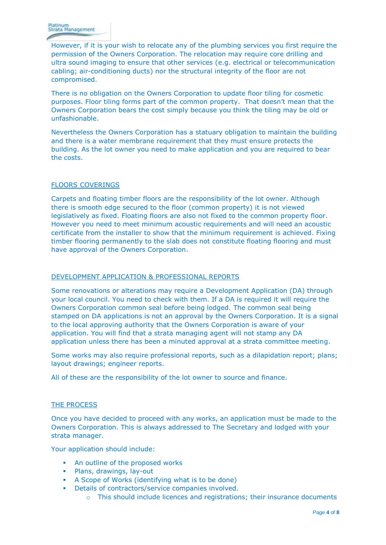However, if it is your wish to relocate any of the plumbing services you first require the permission of the Owners Corporation. The relocation may require core drilling and ultra sound imaging to ensure that other services (e.g. electrical or telecommunication cabling; air-conditioning ducts) nor the structural integrity of the floor are not compromised.

There is no obligation on the Owners Corporation to update floor tiling for cosmetic purposes. Floor tiling forms part of the common property. That doesn't mean that the Owners Corporation bears the cost simply because you think the tiling may be old or unfashionable.

Nevertheless the Owners Corporation has a statuary obligation to maintain the building and there is a water membrane requirement that they must ensure protects the building. As the lot owner you need to make application and you are required to bear the costs.

## FLOORS COVERINGS

Carpets and floating timber floors are the responsibility of the lot owner. Although there is smooth edge secured to the floor (common property) it is not viewed legislatively as fixed. Floating floors are also not fixed to the common property floor. However you need to meet minimum acoustic requirements and will need an acoustic certificate from the installer to show that the minimum requirement is achieved. Fixing timber flooring permanently to the slab does not constitute floating flooring and must have approval of the Owners Corporation.

## DEVELOPMENT APPLICATION & PROFESSIONAL REPORTS

Some renovations or alterations may require a Development Application (DA) through your local council. You need to check with them. If a DA is required it will require the Owners Corporation common seal before being lodged. The common seal being stamped on DA applications is not an approval by the Owners Corporation. It is a signal to the local approving authority that the Owners Corporation is aware of your application. You will find that a strata managing agent will not stamp any DA application unless there has been a minuted approval at a strata committee meeting.

Some works may also require professional reports, such as a dilapidation report; plans; layout drawings; engineer reports.

All of these are the responsibility of the lot owner to source and finance.

## THE PROCESS

Once you have decided to proceed with any works, an application must be made to the Owners Corporation. This is always addressed to The Secretary and lodged with your strata manager.

Your application should include:

- An outline of the proposed works
- **Plans, drawings, lay-out**
- A Scope of Works (identifying what is to be done)
- **•** Details of contractors/service companies involved.
	- o This should include licences and registrations; their insurance documents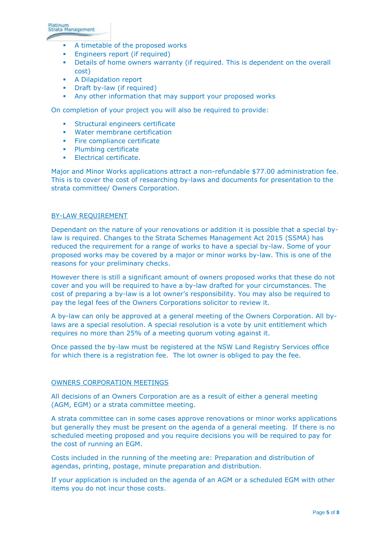

- **A timetable of the proposed works**
- **Engineers report (if required)**
- Details of home owners warranty (if required. This is dependent on the overall cost)
- A Dilapidation report
- Draft by-law (if required)
- Any other information that may support your proposed works

On completion of your project you will also be required to provide:

- **Structural engineers certificate**
- **Water membrane certification**
- **Fire compliance certificate**
- **Plumbing certificate**
- **Electrical certificate.**

Major and Minor Works applications attract a non-refundable \$77.00 administration fee. This is to cover the cost of researching by-laws and documents for presentation to the strata committee/ Owners Corporation.

## BY-LAW REQUIREMENT

Dependant on the nature of your renovations or addition it is possible that a special bylaw is required. Changes to the Strata Schemes Management Act 2015 (SSMA) has reduced the requirement for a range of works to have a special by-law. Some of your proposed works may be covered by a major or minor works by-law. This is one of the reasons for your preliminary checks.

However there is still a significant amount of owners proposed works that these do not cover and you will be required to have a by-law drafted for your circumstances. The cost of preparing a by-law is a lot owner's responsibility. You may also be required to pay the legal fees of the Owners Corporations solicitor to review it.

A by-law can only be approved at a general meeting of the Owners Corporation. All bylaws are a special resolution. A special resolution is a vote by unit entitlement which requires no more than 25% of a meeting quorum voting against it.

Once passed the by-law must be registered at the NSW Land Registry Services office for which there is a registration fee. The lot owner is obliged to pay the fee.

#### OWNERS CORPORATION MEETINGS

All decisions of an Owners Corporation are as a result of either a general meeting (AGM, EGM) or a strata committee meeting.

A strata committee can in some cases approve renovations or minor works applications but generally they must be present on the agenda of a general meeting. If there is no scheduled meeting proposed and you require decisions you will be required to pay for the cost of running an EGM.

Costs included in the running of the meeting are: Preparation and distribution of agendas, printing, postage, minute preparation and distribution.

If your application is included on the agenda of an AGM or a scheduled EGM with other items you do not incur those costs.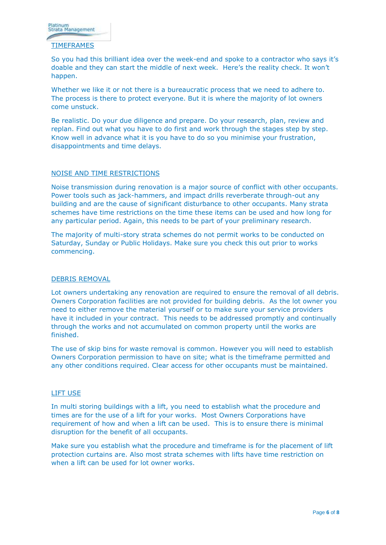#### TIMEFRAMES

So you had this brilliant idea over the week-end and spoke to a contractor who says it's doable and they can start the middle of next week. Here's the reality check. It won't happen.

Whether we like it or not there is a bureaucratic process that we need to adhere to. The process is there to protect everyone. But it is where the majority of lot owners come unstuck.

Be realistic. Do your due diligence and prepare. Do your research, plan, review and replan. Find out what you have to do first and work through the stages step by step. Know well in advance what it is you have to do so you minimise your frustration, disappointments and time delays.

## NOISE AND TIME RESTRICTIONS

Noise transmission during renovation is a major source of conflict with other occupants. Power tools such as jack-hammers, and impact drills reverberate through-out any building and are the cause of significant disturbance to other occupants. Many strata schemes have time restrictions on the time these items can be used and how long for any particular period. Again, this needs to be part of your preliminary research.

The majority of multi-story strata schemes do not permit works to be conducted on Saturday, Sunday or Public Holidays. Make sure you check this out prior to works commencing.

## DEBRIS REMOVAL

Lot owners undertaking any renovation are required to ensure the removal of all debris. Owners Corporation facilities are not provided for building debris. As the lot owner you need to either remove the material yourself or to make sure your service providers have it included in your contract. This needs to be addressed promptly and continually through the works and not accumulated on common property until the works are finished.

The use of skip bins for waste removal is common. However you will need to establish Owners Corporation permission to have on site; what is the timeframe permitted and any other conditions required. Clear access for other occupants must be maintained.

## LIFT USE

In multi storing buildings with a lift, you need to establish what the procedure and times are for the use of a lift for your works. Most Owners Corporations have requirement of how and when a lift can be used. This is to ensure there is minimal disruption for the benefit of all occupants.

Make sure you establish what the procedure and timeframe is for the placement of lift protection curtains are. Also most strata schemes with lifts have time restriction on when a lift can be used for lot owner works.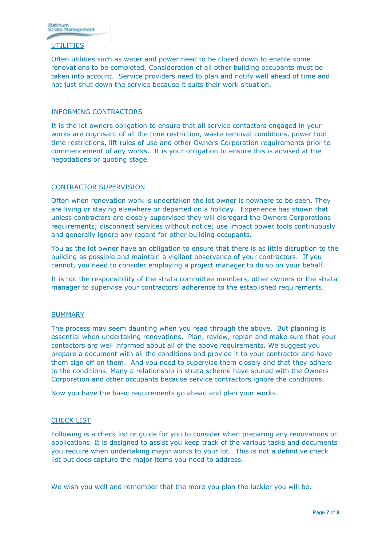### UTILITIES

Often utilities such as water and power need to be closed down to enable some renovations to be completed. Consideration of all other building occupants must be taken into account. Service providers need to plan and notify well ahead of time and not just shut down the service because it suits their work situation.

### INFORMING CONTRACTORS

It is the lot owners obligation to ensure that all service contactors engaged in your works are cognisant of all the time restriction, waste removal conditions, power tool time restrictions, lift rules of use and other Owners Corporation requirements prior to commencement of any works. It is your obligation to ensure this is advised at the negotiations or quoting stage.

#### CONTRACTOR SUPERVISION

Often when renovation work is undertaken the lot owner is nowhere to be seen. They are living or staying elsewhere or departed on a holiday. Experience has shown that unless contractors are closely supervised they will disregard the Owners Corporations requirements; disconnect services without notice; use impact power tools continuously and generally ignore any regard for other building occupants.

You as the lot owner have an obligation to ensure that there is as little disruption to the building as possible and maintain a vigilant observance of your contractors. If you cannot, you need to consider employing a project manager to do so on your behalf.

It is not the responsibility of the strata committee members, other owners or the strata manager to supervise your contractors' adherence to the established requirements.

#### **SUMMARY**

The process may seem daunting when you read through the above. But planning is essential when undertaking renovations. Plan, review, replan and make sure that your contactors are well informed about all of the above requirements. We suggest you prepare a document with all the conditions and provide it to your contractor and have them sign off on them. And you need to supervise them closely and that they adhere to the conditions. Many a relationship in strata scheme have soured with the Owners Corporation and other occupants because service contractors ignore the conditions.

Now you have the basic requirements go ahead and plan your works.

## CHECK LIST

Following is a check list or guide for you to consider when preparing any renovations or applications. It is designed to assist you keep track of the various tasks and documents you require when undertaking major works to your lot. This is not a definitive check list but does capture the major items you need to address.

We wish you well and remember that the more you plan the luckier you will be.